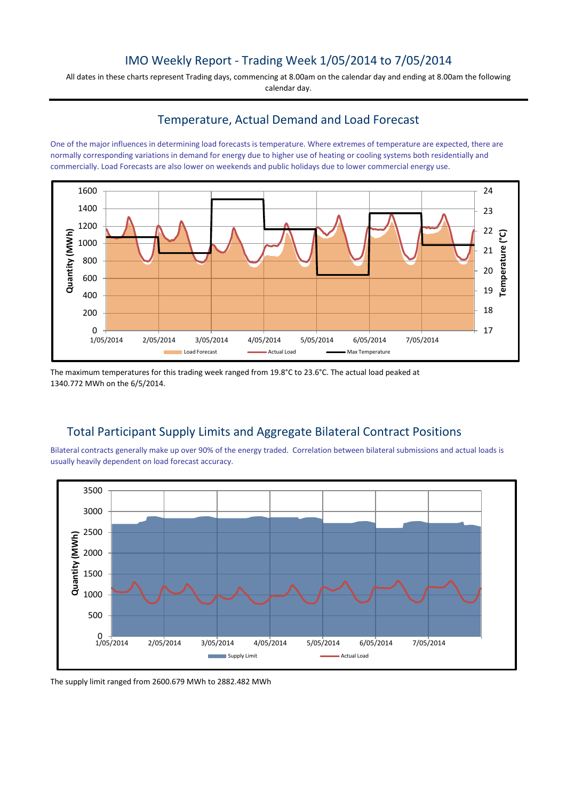## IMO Weekly Report - Trading Week 1/05/2014 to 7/05/2014

All dates in these charts represent Trading days, commencing at 8.00am on the calendar day and ending at 8.00am the following calendar day.

## Temperature, Actual Demand and Load Forecast

One of the major influences in determining load forecasts is temperature. Where extremes of temperature are expected, there are normally corresponding variations in demand for energy due to higher use of heating or cooling systems both residentially and commercially. Load Forecasts are also lower on weekends and public holidays due to lower commercial energy use.



The maximum temperatures for this trading week ranged from 19.8°C to 23.6°C. The actual load peaked at 1340.772 MWh on the 6/5/2014.

## Total Participant Supply Limits and Aggregate Bilateral Contract Positions

Bilateral contracts generally make up over 90% of the energy traded. Correlation between bilateral submissions and actual loads is usually heavily dependent on load forecast accuracy.



The supply limit ranged from 2600.679 MWh to 2882.482 MWh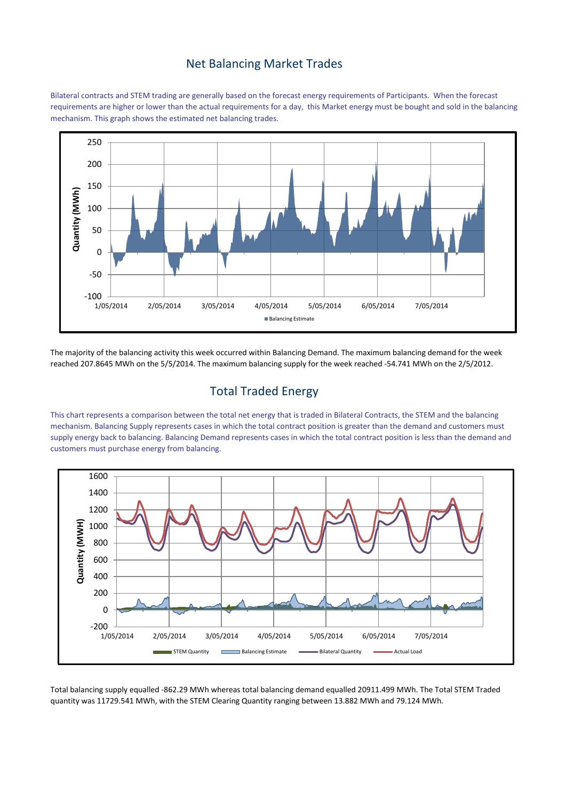#### Net Balancing Market Trades

Bilateral contracts and STEM trading are generally based on the forecast energy requirements of Participants. When the forecast requirements are higher or lower than the actual requirements for a day, this Market energy must be bought and sold in the balancing mechanism. This graph shows the estimated net balancing trades.



The majority of the balancing activity this week occurred within Balancing Demand. The maximum balancing demand for the week reached 207.8645 MWh on the 5/5/2014. The maximum balancing supply for the week reached -54.741 MWh on the 2/5/2012.

# Total Traded Energy

This chart represents a comparison between the total net energy that is traded in Bilateral Contracts, the STEM and the balancing mechanism. Balancing Supply represents cases in which the total contract position is greater than the demand and customers must supply energy back to balancing. Balancing Demand represents cases in which the total contract position is less than the demand and customers must purchase energy from balancing.



Total balancing supply equalled -862.29 MWh whereas total balancing demand equalled 20911.499 MWh. The Total STEM Traded quantity was 11729.541 MWh, with the STEM Clearing Quantity ranging between 13.882 MWh and 79.124 MWh.